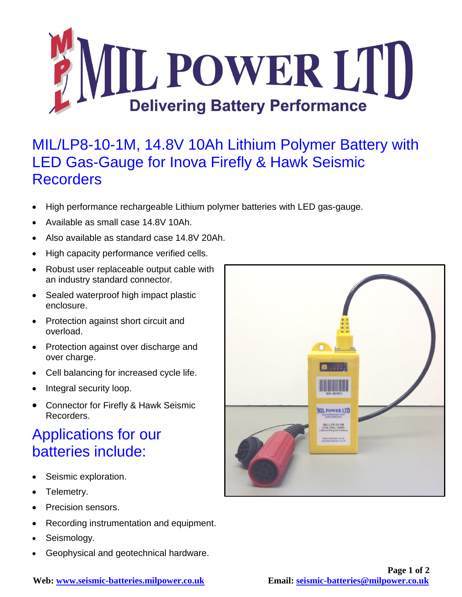

## MIL/LP8-10-1M, 14.8V 10Ah Lithium Polymer Battery with LED Gas-Gauge for Inova Firefly & Hawk Seismic **Recorders**

- High performance rechargeable Lithium polymer batteries with LED gas-gauge.
- Available as small case 14.8V 10Ah.
- Also available as standard case 14.8V 20Ah.
- High capacity performance verified cells.
- Robust user replaceable output cable with an industry standard connector.
- Sealed waterproof high impact plastic enclosure.
- Protection against short circuit and overload.
- Protection against over discharge and over charge.
- Cell balancing for increased cycle life.
- Integral security loop.
- Connector for Firefly & Hawk Seismic Recorders.

## Applications for our batteries include:

- Seismic exploration.
- Telemetry.
- Precision sensors.
- Recording instrumentation and equipment.
- Seismology.
- Geophysical and geotechnical hardware.